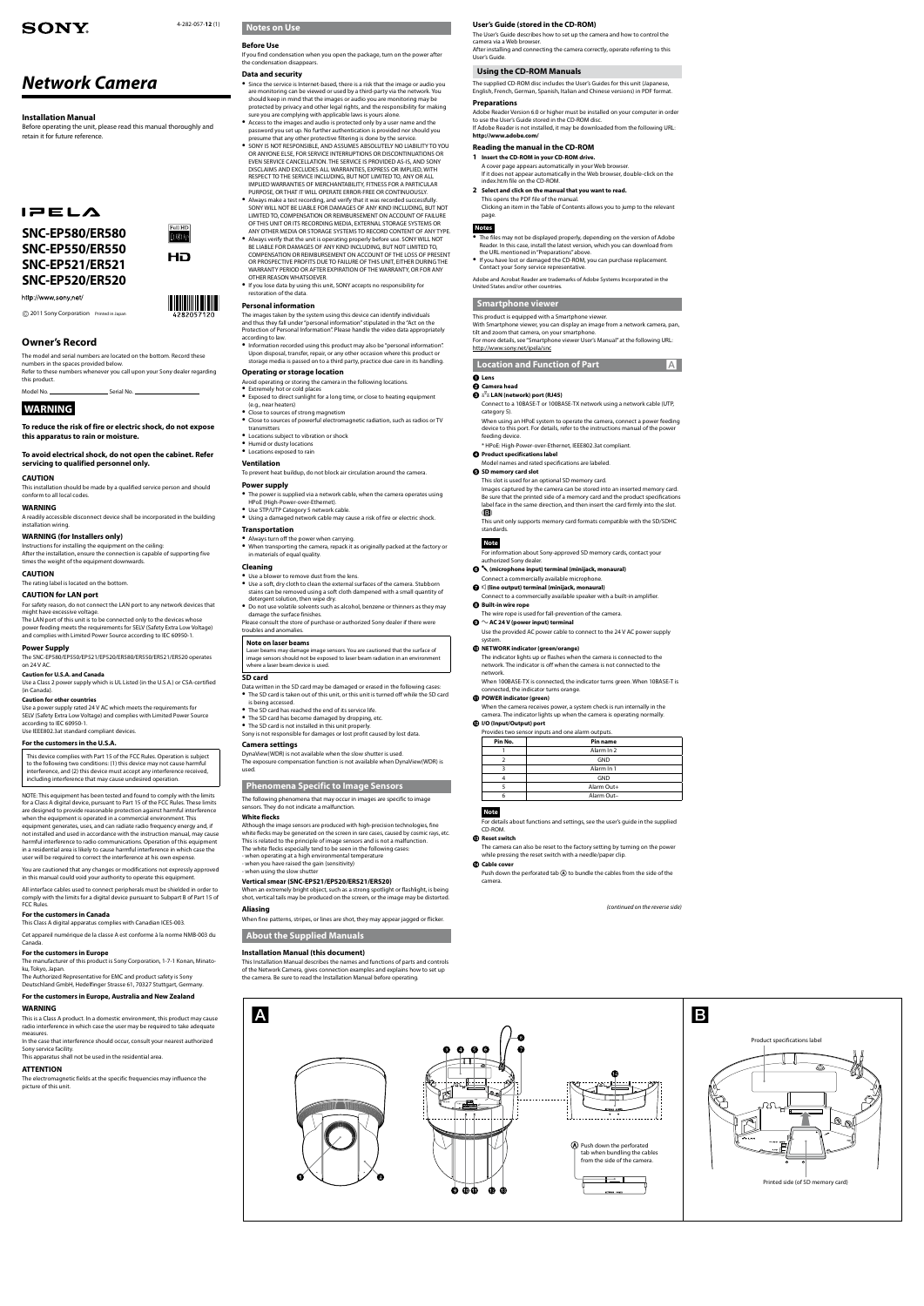*Network Camera*

# **SONY**

**Installation Manual**

Before operating the unit, please read this manual thoroughly and

Full HD 1080<sub>P</sub>

HD

retain it for future reference.

 $IPELA$ 

**SNC-EP580/ER580 SNC-EP550/ER550 SNC-EP521/ER521**

**SNC-EP520/ER520**

**Owner's Record**

http://www.sony.net/

The model and serial numbers are located on the bottom. Record these

numbers in the spaces provided below.

Refer to these numbers whenever you call upon your Sony dealer regarding

this product.

Model No. Serial No.

**WARNING**

**To reduce the risk of fire or electric shock, do not expose** 

**this apparatus to rain or moisture.**

**To avoid electrical shock, do not open the cabinet. Refer** 

**servicing to qualified personnel only.** 

**CAUTION**

This installation should be made by a qualified service person and should

conform to all local codes.

**WARNING**

A readily accessible disconnect device shall be incorporated in the building

installation wiring.

**WARNING (for Installers only)**

Instructions for installing the equipment on the ceiling:

After the installation, ensure the connection is capable of supporting five

times the weight of the equipment downwards.

**CAUTION**

The rating label is located on the bottom.

**CAUTION for LAN port**

For safety reason, do not connect the LAN port to any network devices that

might have excessive voltage.

The LAN port of this unit is to be connected only to the devices whose power feeding meets the requirements for SELV (Safety Extra Low Voltage) and complies with Limited Power Source according to IEC 60950-1.

**Power Supply**

The SNC-EP580/EP550/EP521/EP520/ER580/ER550/ER521/ER520 operates

on 24 V AC.

**Caution for U.S.A. and Canada**

Use a Class 2 power supply which is UL Listed (in the U.S.A.) or CSA-certified

(in Canada).

#### **Caution for other countries**

Use a power supply rated 24 V AC which meets the requirements for SELV (Safety Extra Low Voltage) and complies with Limited Power Source according to IEC 60950-1. Use IEEE802.3at standard compliant devices.

#### **For the customers in the U.S.A.**

#### 4-282-057-**12** (1) **Notes on Use**

This device complies with Part 15 of the FCC Rules. Operation is subject to the following two conditions: (1) this device may not cause harmful interference, and (2) this device must accept any interference received, including interference that may cause undesired operation.

NOTE: This equipment has been tested and found to comply with the limits for a Class A digital device, pursuant to Part 15 of the FCC Rules. These limits are designed to provide reasonable protection against harmful interference when the equipment is operated in a commercial environment. This equipment generates, uses, and can radiate radio frequency energy and, if not installed and used in accordance with the instruction manual, may cause harmful interference to radio communications. Operation of this equipment in a residential area is likely to cause harmful interference in which case the user will be required to correct the interference at his own expense.

You are cautioned that any changes or modifications not expressly approved in this manual could void your authority to operate this equipment.

All interface cables used to connect peripherals must be shielded in order to comply with the limits for a digital device pursuant to Subpart B of Part 15 of FCC Rules.

#### **For the customers in Canada**

This Class A digital apparatus complies with Canadian ICES-003.

Cet appareil numérique de la classe A est conforme à la norme NMB-003 du Canada.

#### **For the customers in Europe**

The manufacturer of this product is Sony Corporation, 1-7-1 Konan, Minatoku, Tokyo, Japan. The Authorized Representative for EMC and product safety is Sony

Deutschland GmbH, Hedelfinger Strasse 61, 70327 Stuttgart, Germany.

#### **For the customers in Europe, Australia and New Zealand**

#### **WARNING**

This is a Class A product. In a domestic environment, this product may cause radio interference in which case the user may be required to take adequate measures.

In the case that interference should occur, consult your nearest authorized Sony service facility.

This apparatus shall not be used in the residential area.

#### **ATTENTION**

The electromagnetic fields at the specific frequencies may influence the picture of this unit.

## **Before Use**

If you find condensation when you open the package, turn on the power after the condensation disappears.

## **Data and security**

- Since the service is Internet-based, there is a risk that the image or audio you are monitoring can be viewed or used by a third-party via the network. You should keep in mind that the images or audio you are monitoring may be protected by privacy and other legal rights, and the responsibility for making sure you are complying with applicable laws is yours alone.
- Access to the images and audio is protected only by a user name and the password you set up. No further authentication is provided nor should you presume that any other protective filtering is done by the service.
- **SONY IS NOT RESPONSIBLE, AND ASSUMES ABSOLUTELY NO LIABILITY TO YOU** OR ANYONE ELSE, FOR SERVICE INTERRUPTIONS OR DISCONTINUATIONS OR EVEN SERVICE CANCELLATION. THE SERVICE IS PROVIDED AS-IS, AND SONY DISCLAIMS AND EXCLUDES ALL WARRANTIES, EXPRESS OR IMPLIED, WITH RESPECT TO THE SERVICE INCLUDING, BUT NOT LIMITED TO, ANY OR ALL IMPLIED WARRANTIES OF MERCHANTABILITY, FITNESS FOR A PARTICULAR PURPOSE, OR THAT IT WILL OPERATE ERROR-FREE OR CONTINUOUSLY.
- Always make a test recording, and verify that it was recorded successfully. SONY WILL NOT BE LIABLE FOR DAMAGES OF ANY KIND INCLUDING, BUT NOT LIMITED TO, COMPENSATION OR REIMBURSEMENT ON ACCOUNT OF FAILURE OF THIS UNIT OR ITS RECORDING MEDIA, EXTERNAL STORAGE SYSTEMS OR
- ANY OTHER MEDIA OR STORAGE SYSTEMS TO RECORD CONTENT OF ANY TYPE. Always verify that the unit is operating properly before use. SONY WILL NOT BE LIABLE FOR DAMAGES OF ANY KIND INCLUDING, BUT NOT LIMITED TO, COMPENSATION OR REIMBURSEMENT ON ACCOUNT OF THE LOSS OF PRESENT OR PROSPECTIVE PROFITS DUE TO FAILURE OF THIS UNIT, EITHER DURING THE WARRANTY PERIOD OR AFTER EXPIRATION OF THE WARRANTY, OR FOR ANY OTHER REASON WHATSOEVER.
- If you lose data by using this unit, SONY accepts no responsibility for restoration of the data.

## **Personal information**

#### **<sup>2</sup>** Product specifications label Model names and rated specifications are labeled.

## **SD memory card slot**

This slot is used for an optional SD memory card. Images captured by the camera can be stored into an inserted memory card. Be sure that the printed side of a memory card and the product specifications label face in the same direction, and then insert the card firmly into the slot.  $(B)$ 

- The images taken by the system using this device can identify individuals and thus they fall under "personal information" stipulated in the "Act on the Protection of Personal Information". Please handle the video data appropriately according to law.
- Information recorded using this product may also be "personal information". Upon disposal, transfer, repair, or any other occasion where this product or storage media is passed on to a third party, practice due care in its handling.

 $\bigodot$   $\bigtriangleup$  (microphone input) terminal (minijack, monaural) Connect a commercially available microphone.

#### $\bigcirc$   $\mathbb{C}$  (line output) terminal (minijack, monaural)

Connect to a commercially available speaker with a built-in amplifier. **B** Built-in wire rope

Use the provided AC power cable to connect to the 24 V AC power supply system

## **Operating or storage location**

## **Ventilation**

Push down the perforated tab (A) to bundle the cables from the side of the camera.

To prevent heat buildup, do not block air circulation around the camera.

#### **Power supply**

## **Transportation**

- Always turn off the power when carrying.
- When transporting the camera, repack it as originally packed at the factory or in materials of equal quality.
- **Cleaning**
- Use a blower to remove dust from the lens.
- Use a soft, dry cloth to clean the external surfaces of the camera. Stubborn stains can be removed using a soft cloth dampened with a small quantity of detergent solution, then wipe dry.
- Do not use volatile solvents such as alcohol, benzene or thinners as they may damage the surface finishes.
- Please consult the store of purchase or authorized Sony dealer if there were troubles and anomalies.

#### **Note on laser beams**

Laser beams may damage image sensors. You are cautioned that the surface of image sensors should not be exposed to laser beam radiation in an environ where a laser beam device is used.

## **SD card**

- Avoid operating or storing the camera in the following locations.
- Extremely hot or cold places Exposed to direct sunlight for a long time, or close to heating equipment
- (e.g., near heaters)
- Close to sources of strong magnetism Close to sources of powerful electromagnetic radiation, such as radios or TV transmitters
- Locations subject to vibration or shock
- Humid or dusty locations
- Locations exposed to rain

## is being accessed.

- The SD card has reached the end of its service life. The SD card has become damaged by dropping, etc.
- The SD card is not installed in this unit properly.
- Sony is not responsible for damages or lost profit caused by lost data.
- The power is supplied via a network cable, when the camera operates using HPoE (High-Power-over-Ethernet).
- Use STP/UTP Category 5 network cable.
- Using a damaged network cable may cause a risk of fire or electric shock.

## **Camera settings**

DynaView(WDR) is not available when the slow shutter is used. The exposure compensation function is not available when DynaView(WDR) is used.

## **Phenomena Specific to Image Sensors**

The following phenomena that may occur in images are specific to image sensors. They do not indicate a malfunction.

#### **White flecks**

Data written in the SD card may be damaged or erased in the following cases: The SD card is taken out of this unit, or this unit is turned off while the SD card

Although the image sensors are produced with high-precision technologies, fine white flecks may be generated on the screen in rare cases, caused by cosmic rays, etc. This is related to the principle of image sensors and is not a malfunction. The white flecks especially tend to be seen in the following cases: - when operating at a high environmental temperature - when you have raised the gain (sensitivity)

- when using the slow shutter

#### **Vertical smear (SNC-EP521/EP520/ER521/ER520)**

When an extremely bright object, such as a strong spotlight or flashlight, is being shot, vertical tails may be produced on the screen, or the image may be distorted.

#### **Aliasing**

When fine patterns, stripes, or lines are shot, they may appear jagged or flicker.

**About the Supplied Manuals**

#### **Installation Manual (this document)**

This Installation Manual describes the names and functions of parts and controls of the Network Camera, gives connection examples and explains how to set up the camera. Be sure to read the Installation Manual before operating.

#### **ጠ** POWER indicator (green

### **User's Guide (stored in the CD-ROM)**

The User's Guide describes how to set up the camera and how to control the camera via a Web browser. After installing and connecting the camera correctly, operate referring to this User's Guide.

## **Using the CD-ROM Manuals**

The supplied CD-ROM disc includes the User's Guides for this unit (Japanese, English, French, German, Spanish, Italian and Chinese versions) in PDF format.

#### **Preparations**

Adobe Reader Version 6.0 or higher must be installed on your computer in order to use the User's Guide stored in the CD-ROM disc. If Adobe Reader is not installed, it may be downloaded from the following URL: **http://www.adobe.com/**

## **Reading the manual in the CD-ROM**

- **1 Insert the CD-ROM in your CD-ROM drive.** A cover page appears automatically in your Web browser. If it does not appear automatically in the Web browser, double-click on the index.htm file on the CD-ROM.
- **2 Select and click on the manual that you want to read.** This opens the PDF file of the manual.

Clicking an item in the Table of Contents allows you to jump to the relevant page.

## **Notes**

- The files may not be displayed properly, depending on the version of Adobe Reader. In this case, install the latest version, which you can download from the URL mentioned in "Preparations" above.
- If you have lost or damaged the CD-ROM, you can purchase replacement. Contact your Sony service representative.

Adobe and Acrobat Reader are trademarks of Adobe Systems Incorporated in the United States and/or other countries.

## **Smartphone viewer**

This product is equipped with a Smartphone viewer. With Smartphone viewer, you can display an image from a network camera, pan, tilt and zoom that camera, on your smartphone. For more details, see "Smartphone viewer User's Manual" at the following URL: http://www.sony.net/ipela/snc

### **Location and Function of Part**

#### **Lens Camera head**

- **LAN (network) port (RJ45)**
- 
- Connect to a 10BASE-T or 100BASE-TX network using a network cable (UTP, category 5).
- When using an HPoE system to operate the camera, connect a power feeding device to this port. For details, refer to the instructions manual of the power feeding device.
- \* HPoE: High-Power-over-Ethernet, IEEE802.3at compliant.

This unit only supports memory card formats compatible with the SD/SDHC standards.

## **Note**

For information about Sony-approved SD memory cards, contact your authorized Sony dealer.

### The wire rope is used for fall-prevention of the camera.

 $\mathbf{\odot}$   $\sim$  AC 24 V (power input) terminal

#### **NETWORK indicator (green/orange)**

The indicator lights up or flashes when the camera is connected to the network. The indicator is off when the camera is not connected to the network.

When 100BASE-TX is connected, the indicator turns green. When 10BASE-T is connected, the indicator turns orange.

When the camera receives power, a system check is run internally in the camera. The indicator lights up when the camera is operating normally.

## **I/O (Input/Output) port**

| Provides two sensor inputs and one alarm outputs. |
|---------------------------------------------------|
|                                                   |

| Pin No. | <b>Pin name</b> |
|---------|-----------------|
|         | Alarm In 2      |
|         | <b>GND</b>      |
|         | Alarm In 1      |
|         | <b>GND</b>      |
|         | Alarm Out+      |
|         | Alarm Out-      |
|         |                 |

### **Note**

For details about functions and settings, see the user's guide in the supplied CD-ROM.

#### **Reset switch**

The camera can also be reset to the factory setting by turning on the power while pressing the reset switch with a needle/paper clip.

#### **Cable cover**

*(continued on the reverse side)*

2011 Sony Corporation Printed in Japan